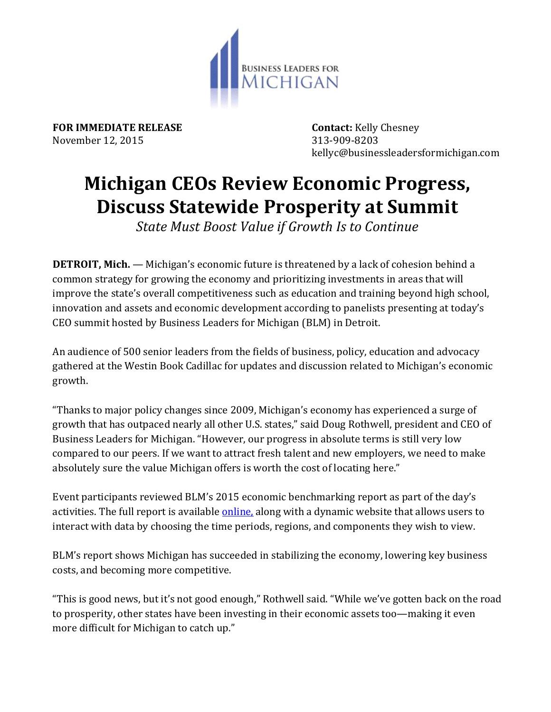

**FOR IMMEDIATE RELEASE Contact:** Kelly Chesney November 12, 2015 313-909-8203

kellyc@businessleadersformichigan.com

## **Michigan CEOs Review Economic Progress, Discuss Statewide Prosperity at Summit**

*State Must Boost Value if Growth Is to Continue*

**DETROIT, Mich.** — Michigan's economic future is threatened by a lack of cohesion behind a common strategy for growing the economy and prioritizing investments in areas that will improve the state's overall competitiveness such as education and training beyond high school, innovation and assets and economic development according to panelists presenting at today's CEO summit hosted by Business Leaders for Michigan (BLM) in Detroit.

An audience of 500 senior leaders from the fields of business, policy, education and advocacy gathered at the Westin Book Cadillac for updates and discussion related to Michigan's economic growth.

"Thanks to major policy changes since 2009, Michigan's economy has experienced a surge of growth that has outpaced nearly all other U.S. states," said Doug Rothwell, president and CEO of Business Leaders for Michigan. "However, our progress in absolute terms is still very low compared to our peers. If we want to attract fresh talent and new employers, we need to make absolutely sure the value Michigan offers is worth the cost of locating here."

Event participants reviewed BLM's 2015 economic benchmarking report as part of the day's activities. The full report is available *online*, along with a dynamic website that allows users to interact with data by choosing the time periods, regions, and components they wish to view.

BLM's report shows Michigan has succeeded in stabilizing the economy, lowering key business costs, and becoming more competitive.

"This is good news, but it's not good enough," Rothwell said. "While we've gotten back on the road to prosperity, other states have been investing in their economic assets too—making it even more difficult for Michigan to catch up."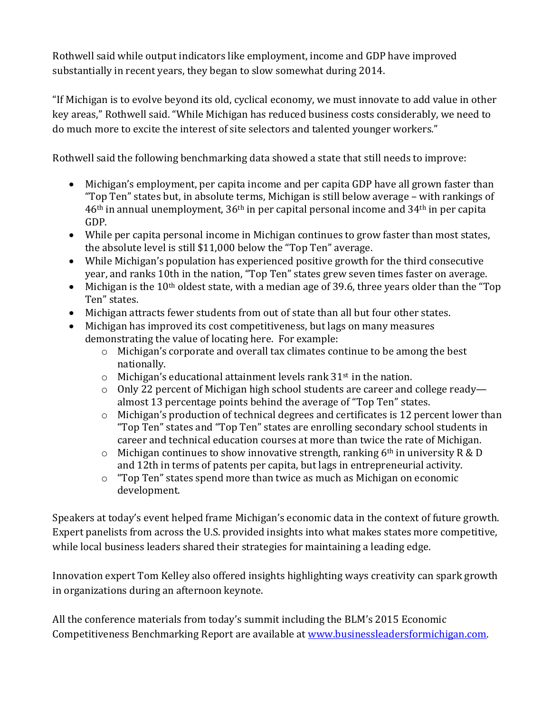Rothwell said while output indicators like employment, income and GDP have improved substantially in recent years, they began to slow somewhat during 2014.

"If Michigan is to evolve beyond its old, cyclical economy, we must innovate to add value in other key areas," Rothwell said. "While Michigan has reduced business costs considerably, we need to do much more to excite the interest of site selectors and talented younger workers."

Rothwell said the following benchmarking data showed a state that still needs to improve:

- Michigan's employment, per capita income and per capita GDP have all grown faster than "Top Ten" states but, in absolute terms, Michigan is still below average – with rankings of 46th in annual unemployment, 36th in per capital personal income and 34th in per capita GDP.
- While per capita personal income in Michigan continues to grow faster than most states, the absolute level is still \$11,000 below the "Top Ten" average.
- While Michigan's population has experienced positive growth for the third consecutive year, and ranks 10th in the nation, "Top Ten" states grew seven times faster on average.
- $\bullet$  Michigan is the 10<sup>th</sup> oldest state, with a median age of 39.6, three years older than the "Top" Ten" states.
- Michigan attracts fewer students from out of state than all but four other states.
- Michigan has improved its cost competitiveness, but lags on many measures demonstrating the value of locating here. For example:
	- o Michigan's corporate and overall tax climates continue to be among the best nationally.
	- $\circ$  Michigan's educational attainment levels rank 31<sup>st</sup> in the nation.
	- o Only 22 percent of Michigan high school students are career and college ready almost 13 percentage points behind the average of "Top Ten" states.
	- o Michigan's production of technical degrees and certificates is 12 percent lower than "Top Ten" states and "Top Ten" states are enrolling secondary school students in career and technical education courses at more than twice the rate of Michigan.
	- $\circ$  Michigan continues to show innovative strength, ranking 6<sup>th</sup> in university R & D and 12th in terms of patents per capita, but lags in entrepreneurial activity.
	- o "Top Ten" states spend more than twice as much as Michigan on economic development.

Speakers at today's event helped frame Michigan's economic data in the context of future growth. Expert panelists from across the U.S. provided insights into what makes states more competitive, while local business leaders shared their strategies for maintaining a leading edge.

Innovation expert Tom Kelley also offered insights highlighting ways creativity can spark growth in organizations during an afternoon keynote.

All the conference materials from today's summit including the BLM's 2015 Economic Competitiveness Benchmarking Report are available at [www.businessleadersformichigan.com.](http://www.businessleadersformichigan.com/)